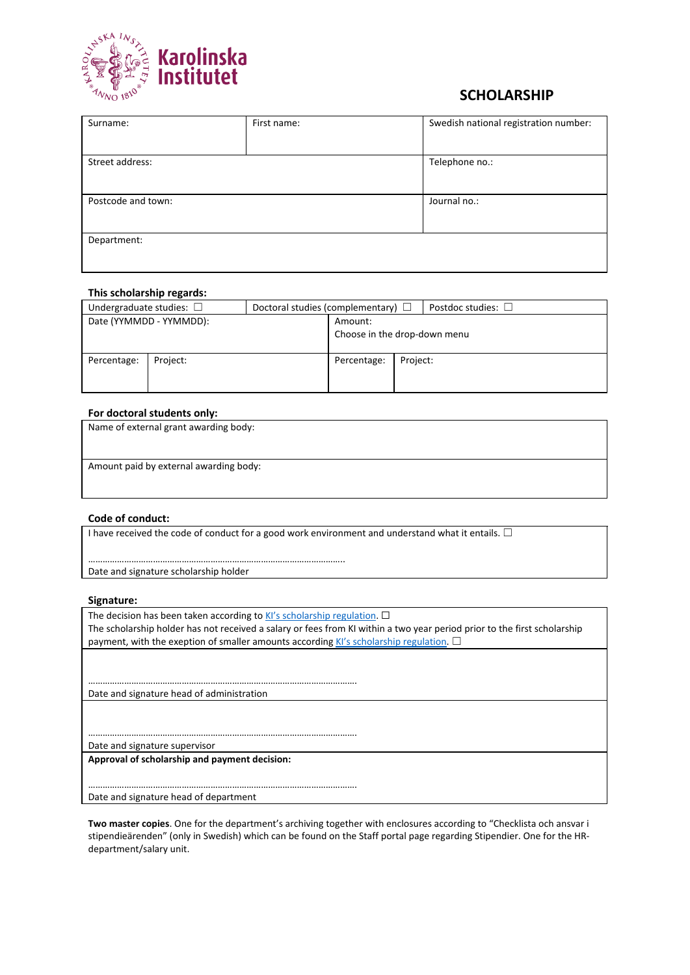

### **SCHOLARSHIP**

| Surname:           | First name: | Swedish national registration number: |
|--------------------|-------------|---------------------------------------|
|                    |             |                                       |
| Street address:    |             | Telephone no.:                        |
|                    |             |                                       |
| Postcode and town: |             | Journal no.:                          |
|                    |             |                                       |
| Department:        |             |                                       |
|                    |             |                                       |

#### **This scholarship regards:**

| Undergraduate studies: $\square$ |                         | Doctoral studies (complementary) $\Box$ |                              |          | Postdoc studies: $\square$ |
|----------------------------------|-------------------------|-----------------------------------------|------------------------------|----------|----------------------------|
|                                  | Date (YYMMDD - YYMMDD): |                                         | Amount:                      |          |                            |
|                                  |                         |                                         | Choose in the drop-down menu |          |                            |
|                                  |                         |                                         |                              |          |                            |
| Percentage:                      | Project:                |                                         | Percentage:                  | Project: |                            |
|                                  |                         |                                         |                              |          |                            |
|                                  |                         |                                         |                              |          |                            |

#### **For doctoral students only:**

| Name of external grant awarding body:  |  |
|----------------------------------------|--|
|                                        |  |
|                                        |  |
| Amount paid by external awarding body: |  |
|                                        |  |
|                                        |  |

#### **Code of conduct:**

I have received the code of conduct for a good work environment and understand what it entails.  $\Box$ 

Date and signature scholarship holder

……………………………………………………………………………………………..

………………………………………………………………………………………………….

………………………………………………………………………………………………….

………………………………………………………………………………………………….

#### **Signature:**

The decision has been taken according to  $K/S$  scholarship regulation.  $\Box$ The scholarship holder has not received a salary or fees from KI within a two year period prior to the first scholarship payment, with the exeption of smaller amounts according [KI's scholarship regulation.](https://internwebben.ki.se/sites/default/files/stipendieregler_original_2016_engelska_1.pdf)  $\Box$ 

Date and signature head of administration

Date and signature supervisor

**Approval of scholarship and payment decision:**

Date and signature head of department

**Two master copies**. One for the department's archiving together with enclosures according to "Checklista och ansvar i stipendieärenden" (only in Swedish) which can be found on the Staff portal page regarding Stipendier. One for the HRdepartment/salary unit.